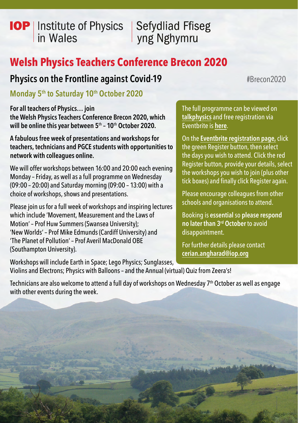# **IOP** | Institute of Physics in Wales

**Sefydliad Ffiseg** yng Nghymru

# **Welsh Physics Teachers Conference Brecon 2020**

# **Physics on the Frontline against Covid-19** #Brecon2020

**Monday 5<sup>th</sup> to Saturday 10<sup>th</sup> October 2020** 

**For all teachers of Physics… join the Welsh Physics Teachers Conference Brecon 2020, which will be online this year between 5**th **– 10**th **October 2020.**

**A fabulous free week of presentations and workshops for teachers, technicians and PGCE students with opportunities to network with colleagues online.**

We will offer workshops between 16:00 and 20:00 each evening Monday – Friday, as well as a full programme on Wednesday (09:00 – 20:00) and Saturday morning (09:00 – 13:00) with a choice of workshops, shows and presentations.

Please join us for a full week of workshops and inspiring lectures which include 'Movement, Measurement and the Laws of Motion' – Prof Huw Summers (Swansea University); 'New Worlds' – Prof Mike Edmunds (Cardiff University) and 'The Planet of Pollution' – Prof Averil MacDonald OBE (Southampton University).

Workshops will include Earth in Space; Lego Physics; Sunglasses, Violins and Electrons; Physics with Balloons – and the Annual (virtual) Quiz from Zeera's!

The full programme can be viewed on **[talkphysics](https://www.talkphysics.org)** and free registration via Eventbrite is **[here](https://welshphysicsteachersconferenceonlinebrecon2020.eventbrite.co.uk)**.

On the **[Eventbrite registration page](https://welshphysicsteachersconferenceonlinebrecon2020.eventbrite.co.uk),** click the green Register button, then select the days you wish to attend. Click the red Register button, provide your details, select the workshops you wish to join (plus other tick boxes) and finally click Register again.

Please encourage colleagues from other schools and organisations to attend.

Booking is **essential** so **please respond no later than 3rd October** to avoid disappointment.

For further details please contact **[cerian.angharad@iop.org](mailto:cerian.angharad%40iop.org?subject=)**

Technicians are also welcome to attend a full day of workshops on Wednesday 7<sup>th</sup> October as well as engage with other events during the week.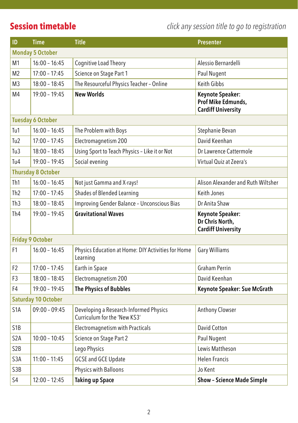**Session timetable** *click any session title to go to registration*

| ID                         | <b>Time</b>     | <b>Title</b>                                                           | <b>Presenter</b>                                                    |  |  |
|----------------------------|-----------------|------------------------------------------------------------------------|---------------------------------------------------------------------|--|--|
| <b>Monday 5 October</b>    |                 |                                                                        |                                                                     |  |  |
| M1                         | $16:00 - 16:45$ | Cognitive Load Theory                                                  | Alessio Bernardelli                                                 |  |  |
| M2                         | $17:00 - 17:45$ | Science on Stage Part 1                                                | Paul Nugent                                                         |  |  |
| M <sub>3</sub>             | $18:00 - 18:45$ | The Resourceful Physics Teacher - Online                               | Keith Gibbs                                                         |  |  |
| M4                         | $19:00 - 19:45$ | <b>New Worlds</b>                                                      | Keynote Speaker:<br>Prof Mike Edmunds,<br><b>Cardiff University</b> |  |  |
| <b>Tuesday 6 October</b>   |                 |                                                                        |                                                                     |  |  |
| Tu1                        | $16:00 - 16:45$ | The Problem with Boys                                                  | Stephanie Bevan                                                     |  |  |
| Tu <sub>2</sub>            | $17:00 - 17:45$ | Electromagnetism 200                                                   | David Keenhan                                                       |  |  |
| Tu3                        | $18:00 - 18:45$ | Using Sport to Teach Physics - Like it or Not                          | Dr Lawrence Cattermole                                              |  |  |
| Tu4                        | $19:00 - 19:45$ | Social evening                                                         | Virtual Quiz at Zeera's                                             |  |  |
| <b>Thursday 8 October</b>  |                 |                                                                        |                                                                     |  |  |
| Th1                        | $16:00 - 16:45$ | Not just Gamma and X-rays!                                             | Alison Alexander and Ruth Wiltsher                                  |  |  |
| Th <sub>2</sub>            | $17:00 - 17:45$ | Shades of Blended Learning                                             | Keith Jones                                                         |  |  |
| Th <sub>3</sub>            | $18:00 - 18:45$ | Improving Gender Balance - Unconscious Bias                            | Dr Anita Shaw                                                       |  |  |
| Th <sub>4</sub>            | $19:00 - 19:45$ | <b>Gravitational Waves</b>                                             | Keynote Speaker:<br>Dr Chris North,<br><b>Cardiff University</b>    |  |  |
| <b>Friday 9 October</b>    |                 |                                                                        |                                                                     |  |  |
| F1                         | $16:00 - 16:45$ | Physics Education at Home: DIY Activities for Home<br>Learning         | Gary Williams                                                       |  |  |
| F <sub>2</sub>             | $17:00 - 17:45$ | Earth in Space                                                         | <b>Graham Perrin</b>                                                |  |  |
| F3                         | $18:00 - 18:45$ | Electromagnetism 200                                                   | David Keenhan                                                       |  |  |
| F4                         | $19:00 - 19:45$ | The Physics of Bubbles                                                 | Keynote Speaker: Sue McGrath                                        |  |  |
| <b>Saturday 10 October</b> |                 |                                                                        |                                                                     |  |  |
| S <sub>1</sub> A           | $09:00 - 09:45$ | Developing a Research-Informed Physics<br>Curriculum for the 'New KS3' | Anthony Clowser                                                     |  |  |
| S <sub>1</sub> B           |                 | Electromagnetism with Practicals                                       | David Cotton                                                        |  |  |
| S <sub>2</sub> A           | $10:00 - 10:45$ | Science on Stage Part 2                                                | Paul Nugent                                                         |  |  |
| S <sub>2</sub> B           |                 | Lego Physics                                                           | Lewis Mattheson                                                     |  |  |
| S <sub>3</sub> A           | $11:00 - 11:45$ | <b>GCSE and GCE Update</b>                                             | <b>Helen Francis</b>                                                |  |  |
| S3B                        |                 | Physics with Balloons                                                  | Jo Kent                                                             |  |  |
| S <sub>4</sub>             | $12:00 - 12:45$ | <b>Taking up Space</b>                                                 | <b>Show - Science Made Simple</b>                                   |  |  |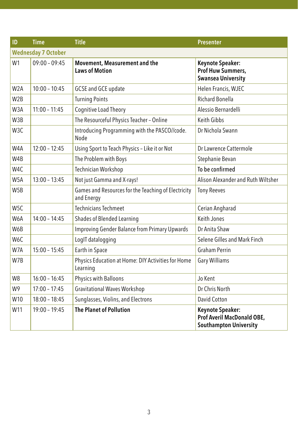| ID               | <b>Time</b>                | <b>Title</b>                                                      | <b>Presenter</b>                                                                |
|------------------|----------------------------|-------------------------------------------------------------------|---------------------------------------------------------------------------------|
|                  | <b>Wednesday 7 October</b> |                                                                   |                                                                                 |
| W <sub>1</sub>   | $09:00 - 09:45$            | Movement, Measurement and the<br><b>Laws of Motion</b>            | Keynote Speaker:<br>Prof Huw Summers,<br><b>Swansea University</b>              |
| W <sub>2</sub> A | $10:00 - 10:45$            | GCSE and GCE update                                               | Helen Francis, WJEC                                                             |
| W <sub>2</sub> B |                            | <b>Turning Points</b>                                             | <b>Richard Bonella</b>                                                          |
| W3A              | $11:00 - 11:45$            | Cognitive Load Theory                                             | Alessio Bernardelli                                                             |
| W3B              |                            | The Resourceful Physics Teacher - Online                          | Keith Gibbs                                                                     |
| W3C              |                            | Introducing Programming with the PASCO//code.<br>Node             | Dr Nichola Swann                                                                |
| W4A              | $12:00 - 12:45$            | Using Sport to Teach Physics - Like it or Not                     | Dr Lawrence Cattermole                                                          |
| W4B              |                            | The Problem with Boys                                             | Stephanie Bevan                                                                 |
| W4C              |                            | Technician Workshop                                               | To be confirmed                                                                 |
| W <sub>5</sub> A | $13:00 - 13:45$            | Not just Gamma and X-rays!                                        | Alison Alexander and Ruth Wiltsher                                              |
| W <sub>5</sub> B |                            | Games and Resources for the Teaching of Electricity<br>and Energy | <b>Tony Reeves</b>                                                              |
| W <sub>5C</sub>  |                            | <b>Technicians Techmeet</b>                                       | Cerian Angharad                                                                 |
| W6A              | $14:00 - 14:45$            | Shades of Blended Learning                                        | Keith Jones                                                                     |
| W6B              |                            | <b>Improving Gender Balance from Primary Upwards</b>              | Dr Anita Shaw                                                                   |
| W6C              |                            | LogIT datalogging                                                 | Selene Gilles and Mark Finch                                                    |
| W7A              | $15:00 - 15:45$            | Earth in Space                                                    | <b>Graham Perrin</b>                                                            |
| W7B              |                            | Physics Education at Home: DIY Activities for Home<br>Learning    | Gary Williams                                                                   |
| W8               | $16:00 - 16:45$            | Physics with Balloons                                             | Jo Kent                                                                         |
| W9               | $17:00 - 17:45$            | <b>Gravitational Waves Workshop</b>                               | Dr Chris North                                                                  |
| W10              | $18:00 - 18:45$            | Sunglasses, Violins, and Electrons                                | David Cotton                                                                    |
| W11              | $19:00 - 19:45$            | <b>The Planet of Pollution</b>                                    | Keynote Speaker:<br>Prof Averil MacDonald OBE,<br><b>Southampton University</b> |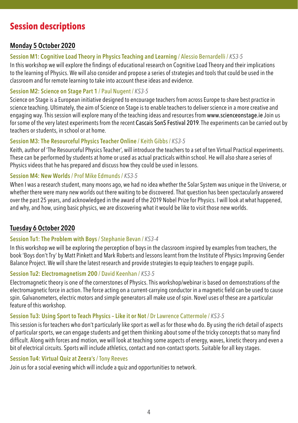# **Session descriptions**

# **Monday 5 October 2020**

# **Session M1: Cognitive Load Theory in Physics Teaching and Learning** / Alessio Bernardelli / *KS3-5*

In this workshop we will explore the findings of educational research on Cognitive Load Theory and their implications to the learning of Physics. We will also consider and propose a series of strategies and tools that could be used in the classroom and for remote learning to take into account these ideas and evidence.

#### **Session M2: Science on Stage Part 1** / Paul Nugent / *KS3-5*

Science on Stage is a European initiative designed to encourage teachers from across Europe to share best practice in science teaching. Ultimately, the aim of Science on Stage is to enable teachers to deliver science in a more creative and engaging way. This session will explore many of the teaching ideas and resources from [www.scienceonstage.ie](http://www.scienceonstage.ie) Join us for some of the very latest experiments from the recent [Cascais SonS Festival 2019](https://sons2019.eu). The experiments can be carried out by teachers or students, in school or at home.

# **Session M3: The Resourceful Physics Teacher Online** / Keith Gibbs / *KS3-5*

Keith, author of 'The Resourceful Physics Teacher', will introduce the teachers to a set of ten Virtual Practical experiments. These can be performed by students at home or used as actual practicals within school. He will also share a series of Physics videos that he has prepared and discuss how they could be used in lessons.

# **Session M4: New Worlds** / Prof Mike Edmunds / *KS3-5*

When I was a research student, many moons ago, we had no idea whether the Solar System was unique in the Universe, or whether there were many new worlds out there waiting to be discovered. That question has been spectacularly answered over the past 25 years, and acknowledged in the award of the 2019 Nobel Prize for Physics. I will look at what happened, and why, and how, using basic physics, we are discovering what it would be like to visit those new worlds.

# **Tuesday 6 October 2020**

# **Session Tu1: The Problem with Boys** / Stephanie Bevan / *KS3-4*

In this workshop we will be exploring the perception of boys in the classroom inspired by examples from teachers, the book 'Boys don't Try' by Matt Pinkett and Mark Roberts and lessons learnt from the Institute of Physics Improving Gender Balance Project. We will share the latest research and provide strategies to equip teachers to engage pupils.

#### **Session Tu2: Electromagnetism 200** / David Keenhan / *KS3-5*

Electromagnetic theory is one of the cornerstones of Physics. This workshop/webinar is based on demonstrations of the electromagnetic force in action. The force acting on a current-carrying conductor in a magnetic field can be used to cause spin. Galvanometers, electric motors and simple generators all make use of spin. Novel uses of these are a particular feature of this workshop.

# **Session Tu3: Using Sport to Teach Physics – Like it or Not** / Dr Lawrence Cattermole / *KS3-5*

This session is for teachers who don't particularly like sport as well as for those who do. By using the rich detail of aspects of particular sports, we can engage students and get them thinking about some of the tricky concepts that so many find difficult. Along with forces and motion, we will look at teaching some aspects of energy, waves, kinetic theory and even a bit of electrical circuits. Sports will include athletics, contact and non-contact sports. Suitable for all key stages.

# **Session Tu4: Virtual Quiz at Zeera's** / Tony Reeves

Join us for a social evening which will include a quiz and opportunities to network.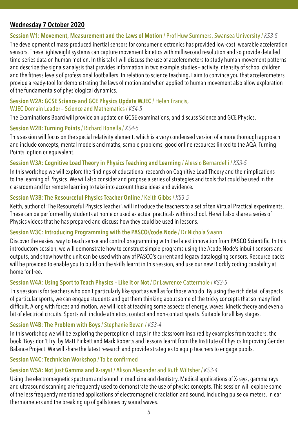# **Wednesday 7 October 2020**

#### **Session W1: Movement, Measurement and the Laws of Motion** / Prof Huw Summers, Swansea University / *KS3-5*

The development of mass-produced inertial sensors for consumer electronics has provided low-cost, wearable acceleration sensors. These lightweight systems can capture movement kinetics with millisecond resolution and so provide detailed time-series data on human motion. In this talk I will discuss the use of accelerometers to study human movement patterns and describe the signals analysis that provides information in two example studies – activity intensity of school children and the fitness levels of professional footballers. In relation to science teaching, I aim to convince you that accelerometers provide a ready-tool for demonstrating the laws of motion and when applied to human movement also allow exploration of the fundamentals of physiological dynamics.

#### **Session W2A: GCSE Science and GCE Physics Update WJEC** / Helen Francis, WJEC Domain Leader – Science and Mathematics / *KS4-5*

The Examinations Board will provide an update on GCSE examinations, and discuss Science and GCE Physics.

### **Session W2B: Turning Points** / Richard Bonella / *KS4-5*

This session will focus on the special relativity element, which is a very condensed version of a more thorough approach and include concepts, mental models and maths, sample problems, good online resources linked to the AQA, Turning Points' option or equivalent.

### **Session W3A: Cognitive Load Theory in Physics Teaching and Learning** / Alessio Bernardelli / *KS3-5*

In this workshop we will explore the findings of educational research on Cognitive Load Theory and their implications to the learning of Physics. We will also consider and propose a series of strategies and tools that could be used in the classroom and for remote learning to take into account these ideas and evidence.

### **Session W3B: The Resourceful Physics Teacher Online** / Keith Gibbs / *KS3-5*

Keith, author of 'The Resourceful Physics Teacher', will introduce the teachers to a set of ten Virtual Practical experiments. These can be performed by students at home or used as actual practicals within school. He will also share a series of Physics videos that he has prepared and discuss how they could be used in lessons.

#### **Session W3C: Introducing Programming with the PASCO//code.Node /** Dr Nichola Swann

Discover the easiest way to teach sense and control programming with the latest innovation from [PASCO Scientific](mailto:https://www.pasco.com?subject=). In this introductory session, we will demonstrate how to construct simple programs using the //code.Node's inbuilt sensors and outputs, and show how the unit can be used with any of PASCO's current and legacy datalogging sensors. Resource packs will be provided to enable you to build on the skills learnt in this session, and use our new Blockly coding capability at home for free.

# **Session W4A: Using Sport to Teach Physics – Like it or Not** / Dr Lawrence Cattermole / *KS3-5*

This session is for teachers who don't particularly like sport as well as for those who do. By using the rich detail of aspects of particular sports, we can engage students and get them thinking about some of the tricky concepts that so many find difficult. Along with forces and motion, we will look at teaching some aspects of energy, waves, kinetic theory and even a bit of electrical circuits. Sports will include athletics, contact and non-contact sports. Suitable for all key stages.

# **Session W4B: The Problem with Boys** / Stephanie Bevan / *KS3-4*

In this workshop we will be exploring the perception of boys in the classroom inspired by examples from teachers, the book 'Boys don't Try' by Matt Pinkett and Mark Roberts and lessons learnt from the Institute of Physics Improving Gender Balance Project. We will share the latest research and provide strategies to equip teachers to engage pupils.

# **Session W4C: Technician Workshop** / To be confirmed

# **Session W5A: Not just Gamma and X-rays!** / Alison Alexander and Ruth Wiltsher / *KS3-4*

Using the electromagnetic spectrum and sound in medicine and dentistry. Medical applications of X-rays, gamma rays and ultrasound scanning are frequently used to demonstrate the use of physics concepts. This session will explore some of the less frequently mentioned applications of electromagnetic radiation and sound, including pulse oximeters, in ear thermometers and the breaking up of gallstones by sound waves.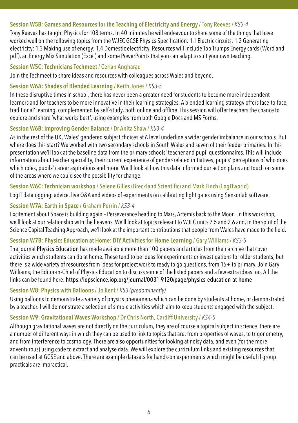#### **Session W5B: Games and Resources for the Teaching of Electricity and Energy** / Tony Reeves / *KS3-4*

Tony Reeves has taught Physics for 108 terms. In 40 minutes he will endeavour to share some of the things that have worked well on the following topics from the WJEC GCSE Physics Specification: 1.1 Electric circuits; 1.2 Generating electricity; 1.3 Making use of energy; 1.4 Domestic electricity. Resources will include Top Trumps Energy cards (Word and pdf), an Energy Mix Simulation (Excel) and some PowerPoints that you can adapt to suit your own teaching.

#### **Session W5C: Technicians Techmeet** / Cerian Angharad

Join the Techmeet to share ideas and resources with colleagues across Wales and beyond.

#### **Session W6A: Shades of Blended Learning** / Keith Jones / *KS3-5*

In these disruptive times in school, there has never been a greater need for students to become more independent learners and for teachers to be more innovative in their learning strategies. A blended learning strategy offers face-to-face, traditional' learning, complemented by self-study, both online and offline. This session will offer teachers the chance to explore and share 'what works best', using examples from both Google Docs and MS Forms.

#### **Session W6B: Improving Gender Balance** / Dr Anita Shaw / *KS3-4*

As in the rest of the UK, Wales' gendered subject choices at A level underline a wider gender imbalance in our schools. But where does this start? We worked with two secondary schools in South Wales and seven of their feeder primaries. In this presentation we'll look at the baseline data from the primary schools' teacher and pupil questionnaires. This will include information about teacher speciality, their current experience of gender-related initiatives, pupils' perceptions of who does which roles, pupils' career aspirations and more. We'll look at how this data informed our action plans and touch on some of the areas where we could see the possibility for change.

#### **Session W6C: Technician workshop** / Selene Gilles (Breckland Scientific) and Mark Finch (LogITworld)

LogIT datalogging: advice, live Q&A and videos of experiments on calibrating light gates using Sensorlab software.

#### **Session W7A: Earth in Space** / Graham Perrin / *KS3-4*

Excitement about Space is building again – Perseverance heading to Mars, Artemis back to the Moon. In this workshop, we'll look at our relationship with the heavens. We'll look at topics relevant to WJEC units 2.5 and 2.6 and, in the spirit of the Science Capital Teaching Approach, we'll look at the important contributions that people from Wales have made to the field.

#### **Session W7B: Physics Education at Home: DIY Activities for Home Learning** / Gary Williams / *KS3-5*

The journal [Physics Education](mailto:https://iopscience.iop.org/journal/0031-9120?subject=) has made available more than 100 papers and articles from their archive that cover activities which students can do at home. These tend to be ideas for experiments or investigations for older students, but there is a wide variety of resources from ideas for project work to ready to go questions, from 16+ to primary. Join Gary Williams, the Editor-in-Chief of Physics Education to discuss some of the listed papers and a few extra ideas too. All the links can be found here: <https://iopscience.iop.org/journal/0031-9120/page/physics-education-at-home>

#### **Session W8: Physics with Balloons** / Jo Kent / *KS3 (predominantly)*

Using balloons to demonstrate a variety of physics phenomena which can be done by students at home, or demonstrated by a teacher. I will demonstrate a selection of simple activities which aim to keep students engaged with the subject.

#### **Session W9: Gravitational Waves Workshop** / Dr Chris North, Cardiff University / *KS4-5*

Although gravitational waves are not directly on the curriculum, they are of course a topical subject in science. there are a number of different ways in which they can be used to link to topics that are: from properties of waves, to trigonometry, and from interference to cosmology. There are also opportunities for looking at noisy data, and even (for the more adventurous) using code to extract and analyse data. We will explore the curriculum links and existing resources that can be used at GCSE and above. There are example datasets for hands-on experiments which might be useful if group practicals are impractical.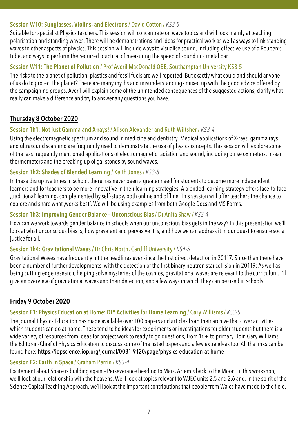#### **Session W10: Sunglasses, Violins, and Electrons** / David Cotton / *KS3-5*

Suitable for specialist Physics teachers. This session will concentrate on wave topics and will look mainly at teaching polarisation and standing waves. There will be demonstrations and ideas for practical work as well as ways to link standing waves to other aspects of physics. This session will include ways to visualise sound, including effective use of a Reuben's tube, and ways to perform the required practical of measuring the speed of sound in a metal bar.

### **Session W11: The Planet of Pollution** / Prof Averil MacDonald OBE, Southampton University KS3-5

The risks to the planet of pollution, plastics and fossil fuels are well reported. But exactly what could and should anyone of us do to protect the planet? There are many myths and misunderstandings mixed up with the good advice offered by the campaigning groups. Averil will explain some of the unintended consequences of the suggested actions, clarify what really can make a difference and try to answer any questions you have.

# **Thursday 8 October 2020**

### **Session Th1: Not just Gamma and X-rays!** / Alison Alexander and Ruth Wiltsher / *KS3-4*

Using the electromagnetic spectrum and sound in medicine and dentistry. Medical applications of X-rays, gamma rays and ultrasound scanning are frequently used to demonstrate the use of physics concepts. This session will explore some of the less frequently mentioned applications of electromagnetic radiation and sound, including pulse oximeters, in-ear thermometers and the breaking up of gallstones by sound waves.

#### **Session Th2: Shades of Blended Learning** / Keith Jones / *KS3-5*

In these disruptive times in school, there has never been a greater need for students to become more independent learners and for teachers to be more innovative in their learning strategies. A blended learning strategy offers face-to-face 'traditional' learning, complemented by self-study, both online and offline. This session will offer teachers the chance to explore and share what , works best'. We will be using examples from both Google Docs and MS Forms.

#### **Session Th3: Improving Gender Balance – Unconscious Bias** / Dr Anita Shaw / *KS3-4*

How can we work towards gender balance in schools when our unconscious bias gets in the way? In this presentation we'll look at what unconscious bias is, how prevalent and pervasive it is, and how we can address it in our quest to ensure social justice for all.

# **Session Th4: Gravitational Waves** / Dr Chris North, Cardiff University / *KS4-5*

Gravitational Waves have frequently hit the headlines ever since the first direct detection in 20117: Since then there have been a number of further developments, with the detection of the first binary neutron star collision in 20119: As well as being cutting edge research, helping solve mysteries of the cosmos, gravitational waves are relevant to the curriculum. I'll give an overview of gravitational waves and their detection, and a few ways in which they can be used in schools.

# **Friday 9 October 2020**

#### **Session F1: Physics Education at Home: DIY Activities for Home Learning** / Gary Williams / *KS3-5*

The journal Physics Education has made available over 100 papers and articles from their archive that cover activities which students can do at home. These tend to be ideas for experiments or investigations for older students but there is a wide variety of resources from ideas for project work to ready to go questions, from 16+ to primary. Join Gary Williams, the Editor-in-Chief of Physics Education to discuss some of the listed papers and a few extra ideas too. All the links can be found here: <https://iopscience.iop.org/journal/0031-9120/page/physics-education-at-home>

#### **Session F2: Earth in Space** / Graham Perrin / *KS3-4*

Excitement about Space is building again – Perseverance heading to Mars, Artemis back to the Moon. In this workshop, we'll look at our relationship with the heavens. We'll look at topics relevant to WJEC units 2.5 and 2.6 and, in the spirit of the Science Capital Teaching Approach, we'll look at the important contributions that people from Wales have made to the field.